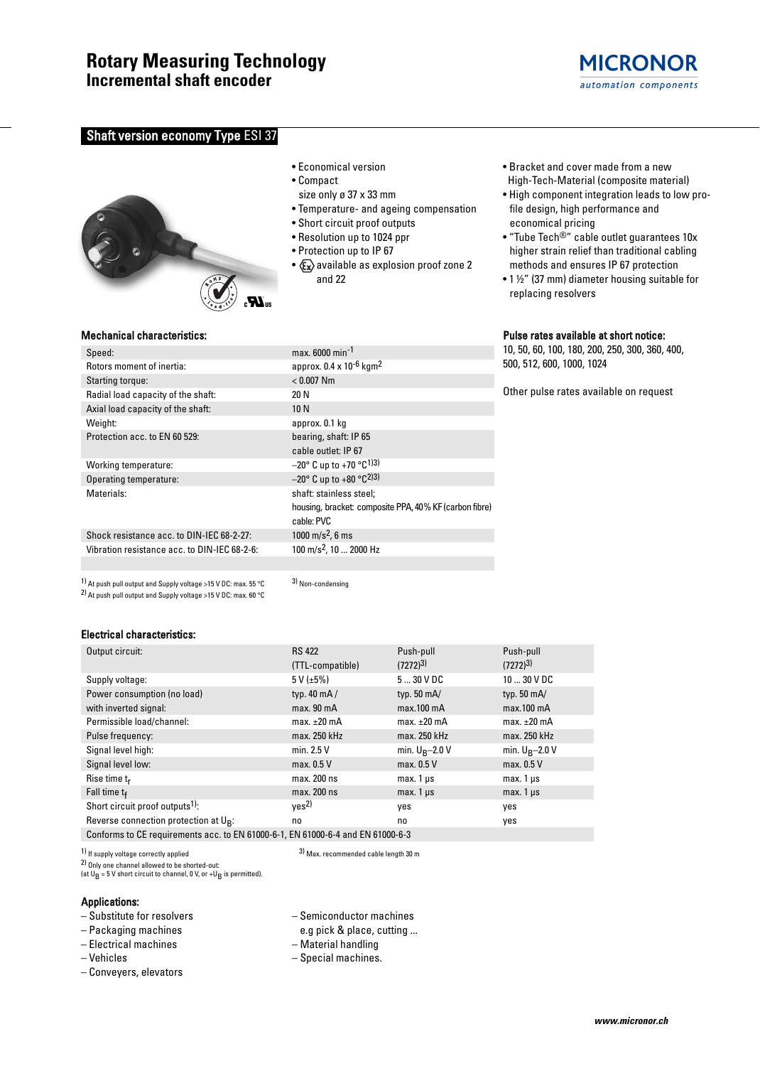# **Rotary Measuring Technology**

**Incremental shaft encoder**

# **Shaft version economy Type ESI 37**



#### • Economical version

- Compact
- size only ø 37 x 33 mm
- Temperature- and ageing compensation
- Short circuit proof outputs
- Resolution up to 1024 ppr
- Protection up to IP 67
- $x \rightarrow \infty$  available as explosion proof zone 2 and 22
- Bracket and cover made from a new High-Tech-Material (composite material)
- High component integration leads to low profile design, high performance and economical pricing
- "Tube Tech®" cable outlet guarantees 10x higher strain relief than traditional cabling methods and ensures IP 67 protection
- 1 ½" (37 mm) diameter housing suitable for replacing resolvers

#### Pulse rates available at short notice:

10, 50, 60, 100, 180, 200, 250, 300, 360, 400, 500, 512, 600, 1000, 1024

Other pulse rates available on request

### Mechanical characteristics:

| Speed:                                       | max. 6000 min <sup>-1</sup>                                        |
|----------------------------------------------|--------------------------------------------------------------------|
| Rotors moment of inertia:                    | approx. $0.4 \times 10^{-6}$ kgm <sup>2</sup>                      |
| Starting torque:                             | $< 0.007$ Nm                                                       |
| Radial load capacity of the shaft:           | 20 N                                                               |
| Axial load capacity of the shaft:            | 10N                                                                |
| Weight:                                      | approx. 0.1 kg                                                     |
| Protection acc. to EN 60 529:                | bearing, shaft: IP 65                                              |
|                                              | cable outlet: IP 67                                                |
| Working temperature:                         | $-20^{\circ}$ C up to +70 $^{\circ}$ C <sup>1</sup> ) <sup>3</sup> |
| Operating temperature:                       | $-20^{\circ}$ C up to +80 $^{\circ}$ C <sup>2</sup> )3)            |
| Materials:                                   | shaft: stainless steel;                                            |
|                                              | housing, bracket: composite PPA, 40% KF (carbon fibre)             |
|                                              | cable: PVC                                                         |
| Shock resistance acc. to DIN-IEC 68-2-27:    | 1000 m/s <sup>2</sup> , 6 ms                                       |
| Vibration resistance acc. to DIN-IEC 68-2-6: | 100 m/s <sup>2</sup> , 10  2000 Hz                                 |

1) At push pull output and Supply voltage >15 V DC: max. 55 °C 2) At push pull output and Supply voltage >15 V DC: max. 60 °C

3) Non-condensing

#### Electrical characteristics:

| Output circuit:                                                                 | <b>RS 422</b>          | Push-pull            | Push-pull            |  |  |  |
|---------------------------------------------------------------------------------|------------------------|----------------------|----------------------|--|--|--|
|                                                                                 | (TTL-compatible)       | $(7272)^{3}$         | $(7272)^{3}$         |  |  |  |
| Supply voltage:                                                                 | $5 V (\pm 5\%)$        | 530VDC               | $1030$ V DC          |  |  |  |
| Power consumption (no load)                                                     | typ. $40 \text{ mA}$   | typ. $50 \text{ mA}$ | typ. $50 \text{ mA}$ |  |  |  |
| with inverted signal:                                                           | max. 90 <sub>m</sub> A | $max.100$ mA         | $max.100$ mA         |  |  |  |
| Permissible load/channel:                                                       | $max. \pm 20$ mA       | max. $\pm 20$ mA     | max. $\pm 20$ mA     |  |  |  |
| Pulse frequency:                                                                | max. 250 kHz           | max. 250 kHz         | max. 250 kHz         |  |  |  |
| Signal level high:                                                              | min. 2.5 V             | min. $U_R - 2.0 V$   | min. $U_B-2.0 V$     |  |  |  |
| Signal level low:                                                               | max. 0.5 V             | max. 0.5 V           | max. 0.5 V           |  |  |  |
| Rise time $t_r$                                                                 | max. 200 ns            | max. $1 \mu s$       | $max.1 \,\mu s$      |  |  |  |
| Fall time $t_f$                                                                 | max. 200 ns            | $max. 1 \mu s$       | $max.1 \,\mu s$      |  |  |  |
| Short circuit proof outputs <sup>1)</sup> :                                     | ves <sup>2</sup>       | ves                  | yes                  |  |  |  |
| Reverse connection protection at U <sub>B</sub> :                               | no                     | no                   | yes                  |  |  |  |
| Conforms to CE requirements acc. to EN 61000-6-1, EN 61000-6-4 and EN 61000-6-3 |                        |                      |                      |  |  |  |

1) If supply voltage correctly applied

2) Only one channel allowed to be shorted-out:

(at  $U_B = 5$  V short circuit to channel, 0 V, or +U<sub>B</sub> is permitted).

#### Applications:

- Substitute for resolvers
- Packaging machines
- Electrical machines
- Vehicles
- Conveyers, elevators

– Semiconductor machines

3) Max. recommended cable length 30 m

- e.g pick & place, cutting ...
- Material handling
- Special machines.